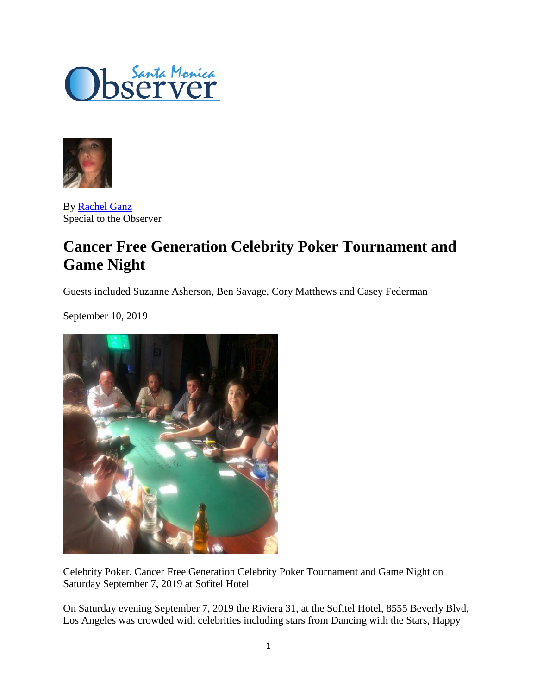



By [Rachel Ganz](https://www.smobserved.com/author/rachel_ganz) Special to the Observer

## **Cancer Free Generation Celebrity Poker Tournament and Game Night**

Guests included Suzanne Asherson, Ben Savage, Cory Matthews and Casey Federman

September 10, 2019



Celebrity Poker. Cancer Free Generation Celebrity Poker Tournament and Game Night on Saturday September 7, 2019 at Sofitel Hotel

On Saturday evening September 7, 2019 the Riviera 31, at the Sofitel Hotel, 8555 Beverly Blvd, Los Angeles was crowded with celebrities including stars from Dancing with the Stars, Happy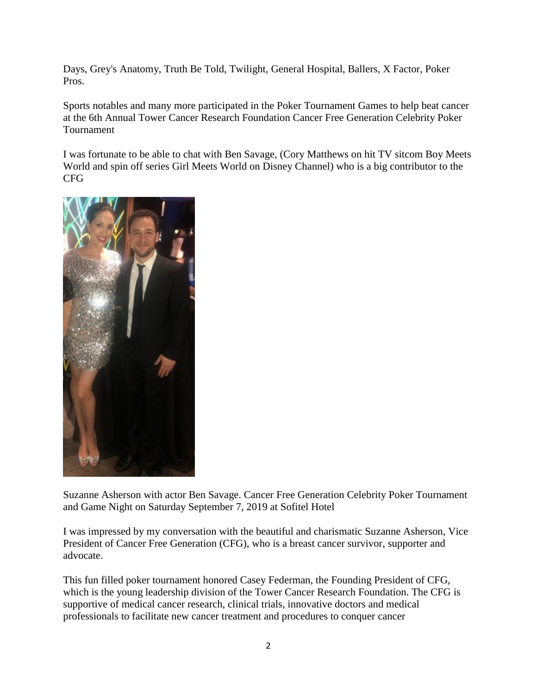Days, Grey's Anatomy, Truth Be Told, Twilight, General Hospital, Ballers, X Factor, Poker Pros.

Sports notables and many more participated in the Poker Tournament Games to help beat cancer at the 6th Annual Tower Cancer Research Foundation Cancer Free Generation Celebrity Poker Tournament

I was fortunate to be able to chat with Ben Savage, (Cory Matthews on hit TV sitcom Boy Meets World and spin off series Girl Meets World on Disney Channel) who is a big contributor to the CFG



Suzanne Asherson with actor Ben Savage. Cancer Free Generation Celebrity Poker Tournament and Game Night on Saturday September 7, 2019 at Sofitel Hotel

I was impressed by my conversation with the beautiful and charismatic Suzanne Asherson, Vice President of Cancer Free Generation (CFG), who is a breast cancer survivor, supporter and advocate.

This fun filled poker tournament honored Casey Federman, the Founding President of CFG, which is the young leadership division of the Tower Cancer Research Foundation. The CFG is supportive of medical cancer research, clinical trials, innovative doctors and medical professionals to facilitate new cancer treatment and procedures to conquer cancer